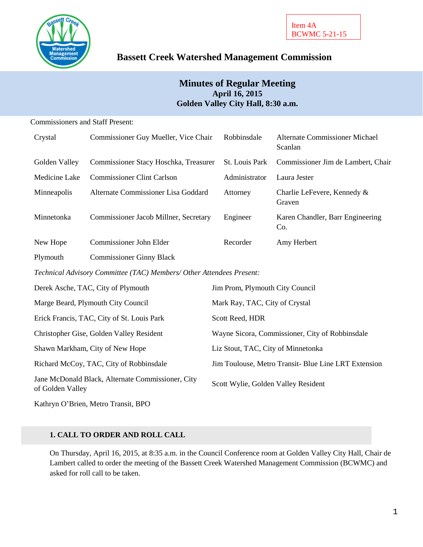

# **Bassett Creek Watershed Management Commission**

# **Minutes of Regular Meeting April 16, 2015 Golden Valley City Hall, 8:30 a.m.**

### Commissioners and Staff Present:

| Crystal                                                               | Commissioner Guy Mueller, Vice Chair  | Robbinsdale                                          | <b>Alternate Commissioner Michael</b><br>Scanlan |  |
|-----------------------------------------------------------------------|---------------------------------------|------------------------------------------------------|--------------------------------------------------|--|
| Golden Valley                                                         | Commissioner Stacy Hoschka, Treasurer | St. Louis Park                                       | Commissioner Jim de Lambert, Chair               |  |
| Medicine Lake                                                         | <b>Commissioner Clint Carlson</b>     | Administrator                                        | Laura Jester                                     |  |
| Minneapolis                                                           | Alternate Commissioner Lisa Goddard   | Attorney                                             | Charlie LeFevere, Kennedy &<br>Graven            |  |
| Minnetonka                                                            | Commissioner Jacob Millner, Secretary | Engineer                                             | Karen Chandler, Barr Engineering<br>Co.          |  |
| New Hope                                                              | Commissioner John Elder               | Recorder                                             | Amy Herbert                                      |  |
| Plymouth                                                              | <b>Commissioner Ginny Black</b>       |                                                      |                                                  |  |
| Technical Advisory Committee (TAC) Members/ Other Attendees Present:  |                                       |                                                      |                                                  |  |
| Derek Asche, TAC, City of Plymouth                                    |                                       | Jim Prom, Plymouth City Council                      |                                                  |  |
| Marge Beard, Plymouth City Council                                    |                                       | Mark Ray, TAC, City of Crystal                       |                                                  |  |
| Erick Francis, TAC, City of St. Louis Park                            |                                       | Scott Reed, HDR                                      |                                                  |  |
| Christopher Gise, Golden Valley Resident                              |                                       | Wayne Sicora, Commissioner, City of Robbinsdale      |                                                  |  |
| Shawn Markham, City of New Hope                                       |                                       | Liz Stout, TAC, City of Minnetonka                   |                                                  |  |
| Richard McCoy, TAC, City of Robbinsdale                               |                                       | Jim Toulouse, Metro Transit- Blue Line LRT Extension |                                                  |  |
| Jane McDonald Black, Alternate Commissioner, City<br>of Golden Valley |                                       | Scott Wylie, Golden Valley Resident                  |                                                  |  |

Kathryn O'Brien, Metro Transit, BPO

### **1. CALL TO ORDER AND ROLL CALL**

On Thursday, April 16, 2015, at 8:35 a.m. in the Council Conference room at Golden Valley City Hall, Chair de Lambert called to order the meeting of the Bassett Creek Watershed Management Commission (BCWMC) and asked for roll call to be taken.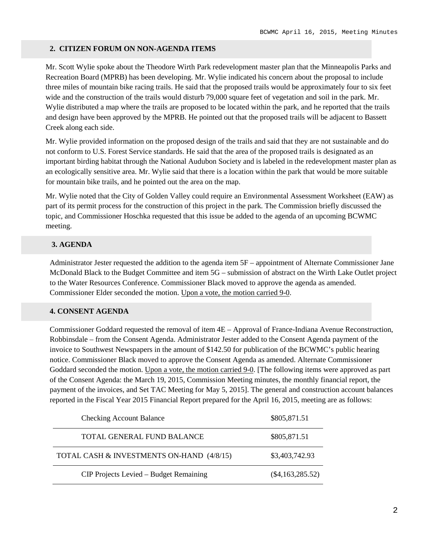### **2. CITIZEN FORUM ON NON-AGENDA ITEMS**

Mr. Scott Wylie spoke about the Theodore Wirth Park redevelopment master plan that the Minneapolis Parks and Recreation Board (MPRB) has been developing. Mr. Wylie indicated his concern about the proposal to include three miles of mountain bike racing trails. He said that the proposed trails would be approximately four to six feet wide and the construction of the trails would disturb 79,000 square feet of vegetation and soil in the park. Mr. Wylie distributed a map where the trails are proposed to be located within the park, and he reported that the trails and design have been approved by the MPRB. He pointed out that the proposed trails will be adjacent to Bassett Creek along each side.

Mr. Wylie provided information on the proposed design of the trails and said that they are not sustainable and do not conform to U.S. Forest Service standards. He said that the area of the proposed trails is designated as an important birding habitat through the National Audubon Society and is labeled in the redevelopment master plan as an ecologically sensitive area. Mr. Wylie said that there is a location within the park that would be more suitable for mountain bike trails, and he pointed out the area on the map.

Mr. Wylie noted that the City of Golden Valley could require an Environmental Assessment Worksheet (EAW) as part of its permit process for the construction of this project in the park. The Commission briefly discussed the topic, and Commissioner Hoschka requested that this issue be added to the agenda of an upcoming BCWMC meeting.

# **3. AGENDA**

Administrator Jester requested the addition to the agenda item 5F – appointment of Alternate Commissioner Jane McDonald Black to the Budget Committee and item 5G – submission of abstract on the Wirth Lake Outlet project to the Water Resources Conference. Commissioner Black moved to approve the agenda as amended. Commissioner Elder seconded the motion. Upon a vote, the motion carried 9-0.

### **4. CONSENT AGENDA**

Commissioner Goddard requested the removal of item 4E – Approval of France-Indiana Avenue Reconstruction, Robbinsdale – from the Consent Agenda. Administrator Jester added to the Consent Agenda payment of the invoice to Southwest Newspapers in the amount of \$142.50 for publication of the BCWMC's public hearing notice. Commissioner Black moved to approve the Consent Agenda as amended. Alternate Commissioner Goddard seconded the motion. Upon a vote, the motion carried 9-0. [The following items were approved as part of the Consent Agenda: the March 19, 2015, Commission Meeting minutes, the monthly financial report, the payment of the invoices, and Set TAC Meeting for May 5, 2015]. The general and construction account balances reported in the Fiscal Year 2015 Financial Report prepared for the April 16, 2015, meeting are as follows:

| <b>Checking Account Balance</b>           | \$805,871.51       |
|-------------------------------------------|--------------------|
| TOTAL GENERAL FUND BALANCE                | \$805,871.51       |
| TOTAL CASH & INVESTMENTS ON-HAND (4/8/15) | \$3,403,742.93     |
| CIP Projects Levied – Budget Remaining    | $(\$4,163,285.52)$ |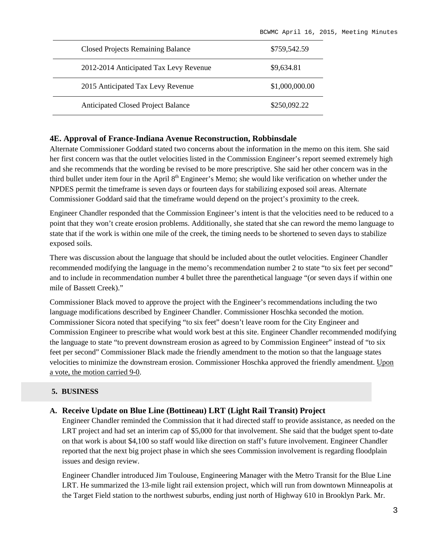| <b>Closed Projects Remaining Balance</b>  | \$759,542.59   |
|-------------------------------------------|----------------|
| 2012-2014 Anticipated Tax Levy Revenue    | \$9,634.81     |
| 2015 Anticipated Tax Levy Revenue         | \$1,000,000.00 |
| <b>Anticipated Closed Project Balance</b> | \$250,092.22   |

#### **4E. Approval of France-Indiana Avenue Reconstruction, Robbinsdale**

Alternate Commissioner Goddard stated two concerns about the information in the memo on this item. She said her first concern was that the outlet velocities listed in the Commission Engineer's report seemed extremely high and she recommends that the wording be revised to be more prescriptive. She said her other concern was in the third bullet under item four in the April 8<sup>th</sup> Engineer's Memo; she would like verification on whether under the NPDES permit the timeframe is seven days or fourteen days for stabilizing exposed soil areas. Alternate Commissioner Goddard said that the timeframe would depend on the project's proximity to the creek.

Engineer Chandler responded that the Commission Engineer's intent is that the velocities need to be reduced to a point that they won't create erosion problems. Additionally, she stated that she can reword the memo language to state that if the work is within one mile of the creek, the timing needs to be shortened to seven days to stabilize exposed soils.

There was discussion about the language that should be included about the outlet velocities. Engineer Chandler recommended modifying the language in the memo's recommendation number 2 to state "to six feet per second" and to include in recommendation number 4 bullet three the parenthetical language "(or seven days if within one mile of Bassett Creek)."

Commissioner Black moved to approve the project with the Engineer's recommendations including the two language modifications described by Engineer Chandler. Commissioner Hoschka seconded the motion. Commissioner Sicora noted that specifying "to six feet" doesn't leave room for the City Engineer and Commission Engineer to prescribe what would work best at this site. Engineer Chandler recommended modifying the language to state "to prevent downstream erosion as agreed to by Commission Engineer" instead of "to six feet per second" Commissioner Black made the friendly amendment to the motion so that the language states velocities to minimize the downstream erosion. Commissioner Hoschka approved the friendly amendment. Upon a vote, the motion carried 9-0.

### **5. BUSINESS**

### **A. Receive Update on Blue Line (Bottineau) LRT (Light Rail Transit) Project**

Engineer Chandler reminded the Commission that it had directed staff to provide assistance, as needed on the LRT project and had set an interim cap of \$5,000 for that involvement. She said that the budget spent to-date on that work is about \$4,100 so staff would like direction on staff's future involvement. Engineer Chandler reported that the next big project phase in which she sees Commission involvement is regarding floodplain issues and design review.

Engineer Chandler introduced Jim Toulouse, Engineering Manager with the Metro Transit for the Blue Line LRT. He summarized the 13-mile light rail extension project, which will run from downtown Minneapolis at the Target Field station to the northwest suburbs, ending just north of Highway 610 in Brooklyn Park. Mr.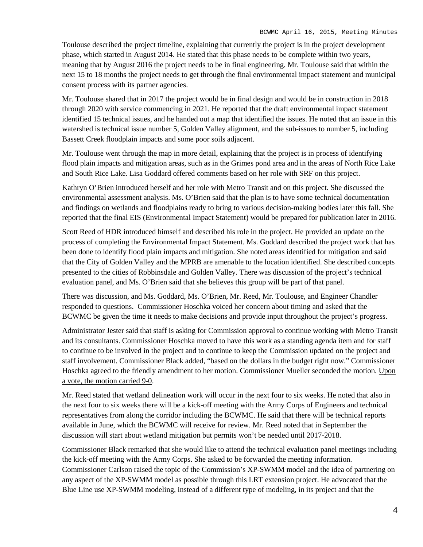Toulouse described the project timeline, explaining that currently the project is in the project development phase, which started in August 2014. He stated that this phase needs to be complete within two years, meaning that by August 2016 the project needs to be in final engineering. Mr. Toulouse said that within the next 15 to 18 months the project needs to get through the final environmental impact statement and municipal consent process with its partner agencies.

Mr. Toulouse shared that in 2017 the project would be in final design and would be in construction in 2018 through 2020 with service commencing in 2021. He reported that the draft environmental impact statement identified 15 technical issues, and he handed out a map that identified the issues. He noted that an issue in this watershed is technical issue number 5, Golden Valley alignment, and the sub-issues to number 5, including Bassett Creek floodplain impacts and some poor soils adjacent.

Mr. Toulouse went through the map in more detail, explaining that the project is in process of identifying flood plain impacts and mitigation areas, such as in the Grimes pond area and in the areas of North Rice Lake and South Rice Lake. Lisa Goddard offered comments based on her role with SRF on this project.

Kathryn O'Brien introduced herself and her role with Metro Transit and on this project. She discussed the environmental assessment analysis. Ms. O'Brien said that the plan is to have some technical documentation and findings on wetlands and floodplains ready to bring to various decision-making bodies later this fall. She reported that the final EIS (Environmental Impact Statement) would be prepared for publication later in 2016.

Scott Reed of HDR introduced himself and described his role in the project. He provided an update on the process of completing the Environmental Impact Statement. Ms. Goddard described the project work that has been done to identify flood plain impacts and mitigation. She noted areas identified for mitigation and said that the City of Golden Valley and the MPRB are amenable to the location identified. She described concepts presented to the cities of Robbinsdale and Golden Valley. There was discussion of the project's technical evaluation panel, and Ms. O'Brien said that she believes this group will be part of that panel.

There was discussion, and Ms. Goddard, Ms. O'Brien, Mr. Reed, Mr. Toulouse, and Engineer Chandler responded to questions. Commissioner Hoschka voiced her concern about timing and asked that the BCWMC be given the time it needs to make decisions and provide input throughout the project's progress.

Administrator Jester said that staff is asking for Commission approval to continue working with Metro Transit and its consultants. Commissioner Hoschka moved to have this work as a standing agenda item and for staff to continue to be involved in the project and to continue to keep the Commission updated on the project and staff involvement. Commissioner Black added, "based on the dollars in the budget right now." Commissioner Hoschka agreed to the friendly amendment to her motion. Commissioner Mueller seconded the motion. Upon a vote, the motion carried 9-0.

Mr. Reed stated that wetland delineation work will occur in the next four to six weeks. He noted that also in the next four to six weeks there will be a kick-off meeting with the Army Corps of Engineers and technical representatives from along the corridor including the BCWMC. He said that there will be technical reports available in June, which the BCWMC will receive for review. Mr. Reed noted that in September the discussion will start about wetland mitigation but permits won't be needed until 2017-2018.

Commissioner Black remarked that she would like to attend the technical evaluation panel meetings including the kick-off meeting with the Army Corps. She asked to be forwarded the meeting information. Commissioner Carlson raised the topic of the Commission's XP-SWMM model and the idea of partnering on any aspect of the XP-SWMM model as possible through this LRT extension project. He advocated that the Blue Line use XP-SWMM modeling, instead of a different type of modeling, in its project and that the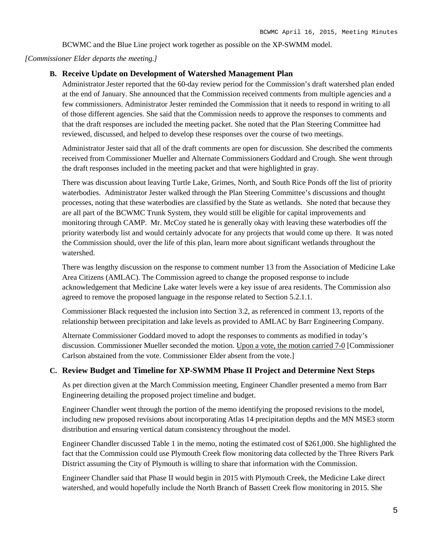BCWMC and the Blue Line project work together as possible on the XP-SWMM model.

#### *[Commissioner Elder departs the meeting.]*

### **B. Receive Update on Development of Watershed Management Plan**

Administrator Jester reported that the 60-day review period for the Commission's draft watershed plan ended at the end of January. She announced that the Commission received comments from multiple agencies and a few commissioners. Administrator Jester reminded the Commission that it needs to respond in writing to all of those different agencies. She said that the Commission needs to approve the responses to comments and that the draft responses are included the meeting packet. She noted that the Plan Steering Committee had reviewed, discussed, and helped to develop these responses over the course of two meetings.

Administrator Jester said that all of the draft comments are open for discussion. She described the comments received from Commissioner Mueller and Alternate Commissioners Goddard and Crough. She went through the draft responses included in the meeting packet and that were highlighted in gray.

There was discussion about leaving Turtle Lake, Grimes, North, and South Rice Ponds off the list of priority waterbodies. Administrator Jester walked through the Plan Steering Committee's discussions and thought processes, noting that these waterbodies are classified by the State as wetlands. She noted that because they are all part of the BCWMC Trunk System, they would still be eligible for capital improvements and monitoring through CAMP. Mr. McCoy stated he is generally okay with leaving these waterbodies off the priority waterbody list and would certainly advocate for any projects that would come up there. It was noted the Commission should, over the life of this plan, learn more about significant wetlands throughout the watershed.

There was lengthy discussion on the response to comment number 13 from the Association of Medicine Lake Area Citizens (AMLAC). The Commission agreed to change the proposed response to include acknowledgement that Medicine Lake water levels were a key issue of area residents. The Commission also agreed to remove the proposed language in the response related to Section 5.2.1.1.

Commissioner Black requested the inclusion into Section 3.2, as referenced in comment 13, reports of the relationship between precipitation and lake levels as provided to AMLAC by Barr Engineering Company.

Alternate Commissioner Goddard moved to adopt the responses to comments as modified in today's discussion. Commissioner Mueller seconded the motion. Upon a vote, the motion carried 7-0 [Commissioner Carlson abstained from the vote. Commissioner Elder absent from the vote.]

#### **C. Review Budget and Timeline for XP-SWMM Phase II Project and Determine Next Steps**

As per direction given at the March Commission meeting, Engineer Chandler presented a memo from Barr Engineering detailing the proposed project timeline and budget.

Engineer Chandler went through the portion of the memo identifying the proposed revisions to the model, including new proposed revisions about incorporating Atlas 14 precipitation depths and the MN MSE3 storm distribution and ensuring vertical datum consistency throughout the model.

Engineer Chandler discussed Table 1 in the memo, noting the estimated cost of \$261,000. She highlighted the fact that the Commission could use Plymouth Creek flow monitoring data collected by the Three Rivers Park District assuming the City of Plymouth is willing to share that information with the Commission.

Engineer Chandler said that Phase II would begin in 2015 with Plymouth Creek, the Medicine Lake direct watershed, and would hopefully include the North Branch of Bassett Creek flow monitoring in 2015. She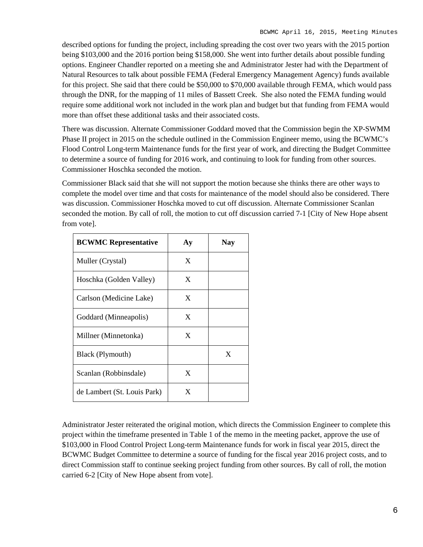described options for funding the project, including spreading the cost over two years with the 2015 portion being \$103,000 and the 2016 portion being \$158,000. She went into further details about possible funding options. Engineer Chandler reported on a meeting she and Administrator Jester had with the Department of Natural Resources to talk about possible FEMA (Federal Emergency Management Agency) funds available for this project. She said that there could be \$50,000 to \$70,000 available through FEMA, which would pass through the DNR, for the mapping of 11 miles of Bassett Creek. She also noted the FEMA funding would require some additional work not included in the work plan and budget but that funding from FEMA would more than offset these additional tasks and their associated costs.

There was discussion. Alternate Commissioner Goddard moved that the Commission begin the XP-SWMM Phase II project in 2015 on the schedule outlined in the Commission Engineer memo, using the BCWMC's Flood Control Long-term Maintenance funds for the first year of work, and directing the Budget Committee to determine a source of funding for 2016 work, and continuing to look for funding from other sources. Commissioner Hoschka seconded the motion.

Commissioner Black said that she will not support the motion because she thinks there are other ways to complete the model over time and that costs for maintenance of the model should also be considered. There was discussion. Commissioner Hoschka moved to cut off discussion. Alternate Commissioner Scanlan seconded the motion. By call of roll, the motion to cut off discussion carried 7-1 [City of New Hope absent from vote].

| <b>BCWMC Representative</b> | ${\bf A}$ y | Nav |
|-----------------------------|-------------|-----|
| Muller (Crystal)            | X           |     |
| Hoschka (Golden Valley)     | X           |     |
| Carlson (Medicine Lake)     | X           |     |
| Goddard (Minneapolis)       | X           |     |
| Millner (Minnetonka)        | X           |     |
| Black (Plymouth)            |             | X   |
| Scanlan (Robbinsdale)       | X           |     |
| de Lambert (St. Louis Park) | X           |     |

Administrator Jester reiterated the original motion, which directs the Commission Engineer to complete this project within the timeframe presented in Table 1 of the memo in the meeting packet, approve the use of \$103,000 in Flood Control Project Long-term Maintenance funds for work in fiscal year 2015, direct the BCWMC Budget Committee to determine a source of funding for the fiscal year 2016 project costs, and to direct Commission staff to continue seeking project funding from other sources. By call of roll, the motion carried 6-2 [City of New Hope absent from vote].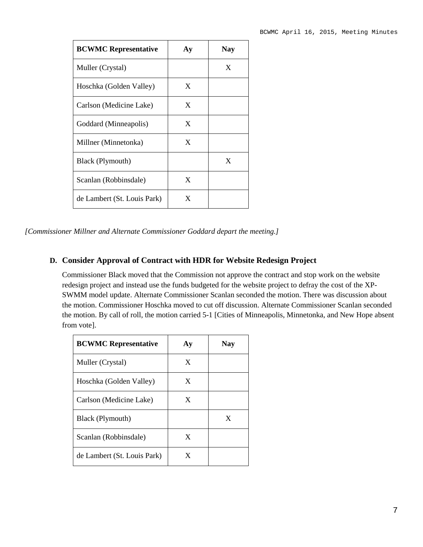| <b>BCWMC Representative</b> | $\bf{A}$ y | <b>Nay</b> |
|-----------------------------|------------|------------|
| Muller (Crystal)            |            | X          |
| Hoschka (Golden Valley)     | X          |            |
| Carlson (Medicine Lake)     | X          |            |
| Goddard (Minneapolis)       | X          |            |
| Millner (Minnetonka)        | X          |            |
| Black (Plymouth)            |            | X          |
| Scanlan (Robbinsdale)       | X          |            |
| de Lambert (St. Louis Park) | X          |            |

*[Commissioner Millner and Alternate Commissioner Goddard depart the meeting.]*

# **D. Consider Approval of Contract with HDR for Website Redesign Project**

Commissioner Black moved that the Commission not approve the contract and stop work on the website redesign project and instead use the funds budgeted for the website project to defray the cost of the XP-SWMM model update. Alternate Commissioner Scanlan seconded the motion. There was discussion about the motion. Commissioner Hoschka moved to cut off discussion. Alternate Commissioner Scanlan seconded the motion. By call of roll, the motion carried 5-1 [Cities of Minneapolis, Minnetonka, and New Hope absent from vote].

| <b>BCWMC Representative</b> | $\bf{A}$ y | <b>Nay</b> |
|-----------------------------|------------|------------|
| Muller (Crystal)            | X          |            |
| Hoschka (Golden Valley)     | X          |            |
| Carlson (Medicine Lake)     | X          |            |
| Black (Plymouth)            |            | X          |
| Scanlan (Robbinsdale)       | X          |            |
| de Lambert (St. Louis Park) | X          |            |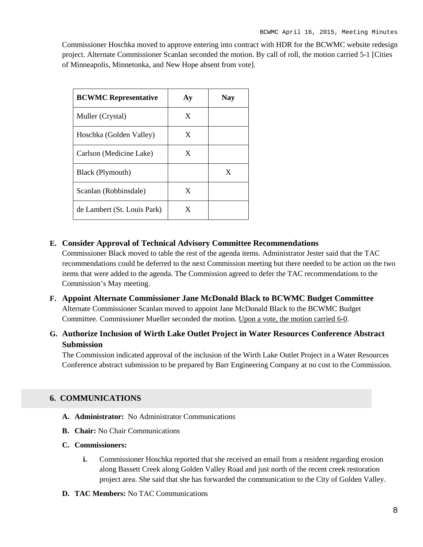Commissioner Hoschka moved to approve entering into contract with HDR for the BCWMC website redesign project. Alternate Commissioner Scanlan seconded the motion. By call of roll, the motion carried 5-1 [Cities of Minneapolis, Minnetonka, and New Hope absent from vote].

| <b>BCWMC Representative</b> | A y | Nav |
|-----------------------------|-----|-----|
| Muller (Crystal)            | X   |     |
| Hoschka (Golden Valley)     | X   |     |
| Carlson (Medicine Lake)     | X   |     |
| Black (Plymouth)            |     | X   |
| Scanlan (Robbinsdale)       | X   |     |
| de Lambert (St. Louis Park) | X   |     |

### **E. Consider Approval of Technical Advisory Committee Recommendations**

Commissioner Black moved to table the rest of the agenda items. Administrator Jester said that the TAC recommendations could be deferred to the next Commission meeting but there needed to be action on the two items that were added to the agenda. The Commission agreed to defer the TAC recommendations to the Commission's May meeting.

**F. Appoint Alternate Commissioner Jane McDonald Black to BCWMC Budget Committee** Alternate Commissioner Scanlan moved to appoint Jane McDonald Black to the BCWMC Budget Committee. Commissioner Mueller seconded the motion. Upon a vote, the motion carried 6-0.

# **G. Authorize Inclusion of Wirth Lake Outlet Project in Water Resources Conference Abstract Submission**

The Commission indicated approval of the inclusion of the Wirth Lake Outlet Project in a Water Resources Conference abstract submission to be prepared by Barr Engineering Company at no cost to the Commission.

### **6. COMMUNICATIONS**

- **A. Administrator:** No Administrator Communications
- **B. Chair:** No Chair Communications
- **C. Commissioners:**
	- **i.** Commissioner Hoschka reported that she received an email from a resident regarding erosion along Bassett Creek along Golden Valley Road and just north of the recent creek restoration project area. She said that she has forwarded the communication to the City of Golden Valley.
- **D. TAC Members:** No TAC Communications